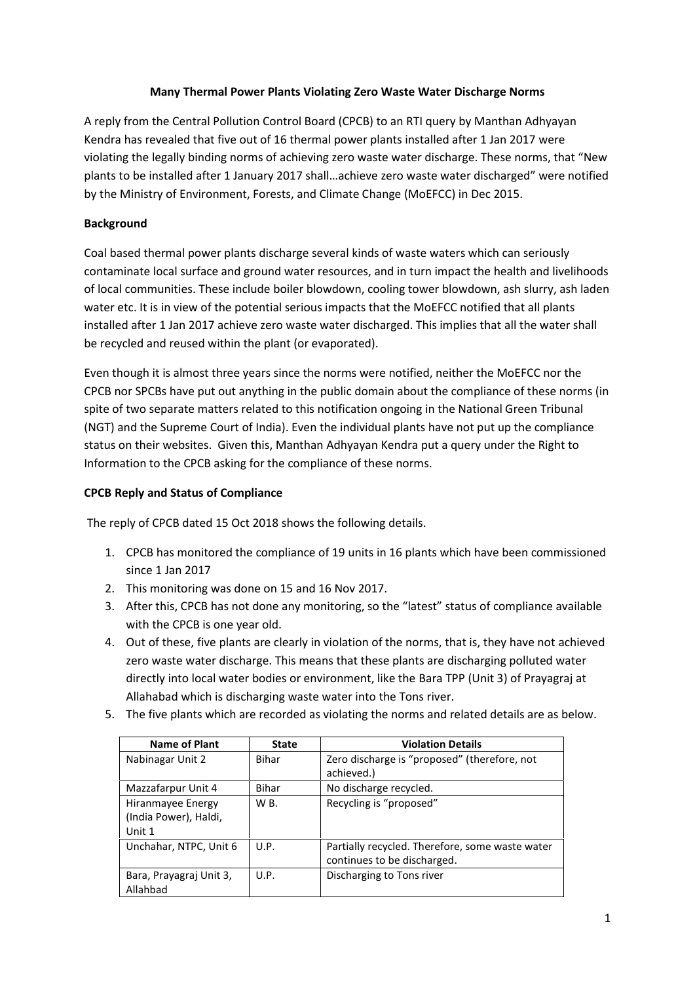## **Many Thermal Power Plants Violating Zero Waste Water Discharge Norms**

A reply from the Central Pollution Control Board (CPCB) to an RTI query by Manthan Adhyayan Kendra has revealed that five out of 16 thermal power plants installed after 1 Jan 2017 were violating the legally binding norms of achieving zero waste water discharge. These norms, that "New plants to be installed after 1 January 2017 shall…achieve zero waste water discharged" were notified by the Ministry of Environment, Forests, and Climate Change (MoEFCC) in Dec 2015.

## **Background**

Coal based thermal power plants discharge several kinds of waste waters which can seriously contaminate local surface and ground water resources, and in turn impact the health and livelihoods of local communities. These include boiler blowdown, cooling tower blowdown, ash slurry, ash laden water etc. It is in view of the potential serious impacts that the MoEFCC notified that all plants installed after 1 Jan 2017 achieve zero waste water discharged. This implies that all the water shall be recycled and reused within the plant (or evaporated).

Even though it is almost three years since the norms were notified, neither the MoEFCC nor the CPCB nor SPCBs have put out anything in the public domain about the compliance of these norms (in spite of two separate matters related to this notification ongoing in the National Green Tribunal (NGT) and the Supreme Court of India). Even the individual plants have not put up the compliance status on their websites. Given this, Manthan Adhyayan Kendra put a query under the Right to Information to the CPCB asking for the compliance of these norms.

## **CPCB Reply and Status of Compliance**

The reply of CPCB dated 15 Oct 2018 shows the following details.

- 1. CPCB has monitored the compliance of 19 units in 16 plants which have been commissioned since 1 Jan 2017
- 2. This monitoring was done on 15 and 16 Nov 2017.
- 3. After this, CPCB has not done any monitoring, so the "latest" status of compliance available with the CPCB is one year old.
- 4. Out of these, five plants are clearly in violation of the norms, that is, they have not achieved zero waste water discharge. This means that these plants are discharging polluted water directly into local water bodies or environment, like the Bara TPP (Unit 3) of Prayagraj at Allahabad which is discharging waste water into the Tons river.
- 5. The five plants which are recorded as violating the norms and related details are as below.

| <b>Name of Plant</b>    | <b>State</b> | <b>Violation Details</b>                        |
|-------------------------|--------------|-------------------------------------------------|
| Nabinagar Unit 2        | Bihar        | Zero discharge is "proposed" (therefore, not    |
|                         |              | achieved.)                                      |
| Mazzafarpur Unit 4      | Bihar        | No discharge recycled.                          |
| Hiranmayee Energy       | W B.         | Recycling is "proposed"                         |
| (India Power), Haldi,   |              |                                                 |
| Unit 1                  |              |                                                 |
| Unchahar, NTPC, Unit 6  | U.P.         | Partially recycled. Therefore, some waste water |
|                         |              | continues to be discharged.                     |
| Bara, Prayagraj Unit 3, | U.P.         | Discharging to Tons river                       |
| Allahbad                |              |                                                 |